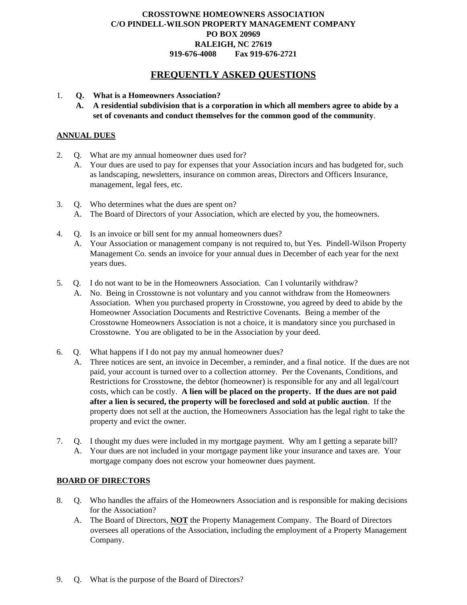## **CROSSTOWNE HOMEOWNERS ASSOCIATION C/O PINDELL-WILSON PROPERTY MANAGEMENT COMPANY PO BOX 20969 RALEIGH, NC 27619 919-676-4008 Fax 919-676-2721**

# **FREQUENTLY ASKED QUESTIONS**

- 1. **Q. What is a Homeowners Association?**
	- **A. A residential subdivision that is a corporation in which all members agree to abide by a set of covenants and conduct themselves for the common good of the community**.

#### **ANNUAL DUES**

- 2. Q. What are my annual homeowner dues used for?
	- A. Your dues are used to pay for expenses that your Association incurs and has budgeted for, such as landscaping, newsletters, insurance on common areas, Directors and Officers Insurance, management, legal fees, etc.
- 3. Q. Who determines what the dues are spent on? A. The Board of Directors of your Association, which are elected by you, the homeowners.
- 4. Q. Is an invoice or bill sent for my annual homeowners dues?
	- A. Your Association or management company is not required to, but Yes. Pindell-Wilson Property Management Co. sends an invoice for your annual dues in December of each year for the next years dues.
- 5. Q. I do not want to be in the Homeowners Association. Can I voluntarily withdraw?
	- A. No. Being in Crosstowne is not voluntary and you cannot withdraw from the Homeowners Association. When you purchased property in Crosstowne, you agreed by deed to abide by the Homeowner Association Documents and Restrictive Covenants. Being a member of the Crosstowne Homeowners Association is not a choice, it is mandatory since you purchased in Crosstowne. You are obligated to be in the Association by your deed.
- 6. Q. What happens if I do not pay my annual homeowner dues?
	- A. Three notices are sent, an invoice in December, a reminder, and a final notice. If the dues are not paid, your account is turned over to a collection attorney. Per the Covenants, Conditions, and Restrictions for Crosstowne, the debtor (homeowner) is responsible for any and all legal/court costs, which can be costly. **A lien will be placed on the property. If the dues are not paid after a lien is secured, the property will be foreclosed and sold at public auction**. If the property does not sell at the auction, the Homeowners Association has the legal right to take the property and evict the owner.
- 7. Q. I thought my dues were included in my mortgage payment. Why am I getting a separate bill? A. Your dues are not included in your mortgage payment like your insurance and taxes are. Your mortgage company does not escrow your homeowner dues payment.

#### **BOARD OF DIRECTORS**

- 8. Q. Who handles the affairs of the Homeowners Association and is responsible for making decisions for the Association?
	- A. The Board of Directors, **NOT** the Property Management Company. The Board of Directors oversees all operations of the Association, including the employment of a Property Management Company.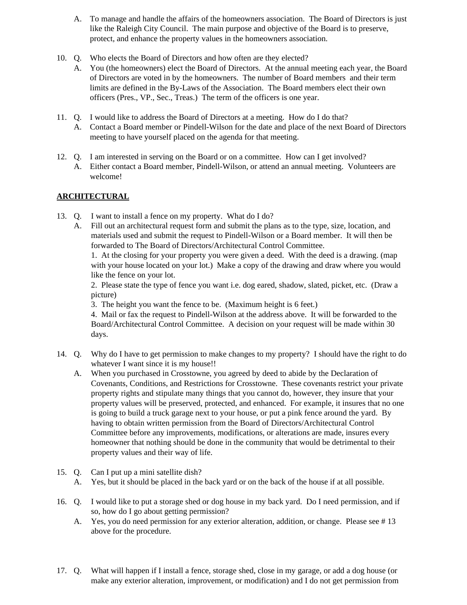- A. To manage and handle the affairs of the homeowners association. The Board of Directors is just like the Raleigh City Council. The main purpose and objective of the Board is to preserve, protect, and enhance the property values in the homeowners association.
- 10. Q. Who elects the Board of Directors and how often are they elected?
	- A. You (the homeowners) elect the Board of Directors. At the annual meeting each year, the Board of Directors are voted in by the homeowners. The number of Board members and their term limits are defined in the By-Laws of the Association. The Board members elect their own officers (Pres., VP., Sec., Treas.) The term of the officers is one year.
- 11. Q. I would like to address the Board of Directors at a meeting. How do I do that?
	- A. Contact a Board member or Pindell-Wilson for the date and place of the next Board of Directors meeting to have yourself placed on the agenda for that meeting.
- 12. Q. I am interested in serving on the Board or on a committee. How can I get involved?
	- A. Either contact a Board member, Pindell-Wilson, or attend an annual meeting. Volunteers are welcome!

#### **ARCHITECTURAL**

- 13. Q. I want to install a fence on my property. What do I do?
	- A. Fill out an architectural request form and submit the plans as to the type, size, location, and materials used and submit the request to Pindell-Wilson or a Board member. It will then be forwarded to The Board of Directors/Architectural Control Committee.

1. At the closing for your property you were given a deed. With the deed is a drawing. (map with your house located on your lot.) Make a copy of the drawing and draw where you would like the fence on your lot.

2. Please state the type of fence you want i.e. dog eared, shadow, slated, picket, etc. (Draw a picture)

3. The height you want the fence to be. (Maximum height is 6 feet.)

4. Mail or fax the request to Pindell-Wilson at the address above. It will be forwarded to the Board/Architectural Control Committee. A decision on your request will be made within 30 days.

- 14. Q. Why do I have to get permission to make changes to my property? I should have the right to do whatever I want since it is my house!!
	- A. When you purchased in Crosstowne, you agreed by deed to abide by the Declaration of Covenants, Conditions, and Restrictions for Crosstowne. These covenants restrict your private property rights and stipulate many things that you cannot do, however, they insure that your property values will be preserved, protected, and enhanced. For example, it insures that no one is going to build a truck garage next to your house, or put a pink fence around the yard. By having to obtain written permission from the Board of Directors/Architectural Control Committee before any improvements, modifications, or alterations are made, insures every homeowner that nothing should be done in the community that would be detrimental to their property values and their way of life.
- 15. Q. Can I put up a mini satellite dish?
	- A. Yes, but it should be placed in the back yard or on the back of the house if at all possible.
- 16. Q. I would like to put a storage shed or dog house in my back yard. Do I need permission, and if so, how do I go about getting permission?
	- A. Yes, you do need permission for any exterior alteration, addition, or change. Please see # 13 above for the procedure.
- 17. Q. What will happen if I install a fence, storage shed, close in my garage, or add a dog house (or make any exterior alteration, improvement, or modification) and I do not get permission from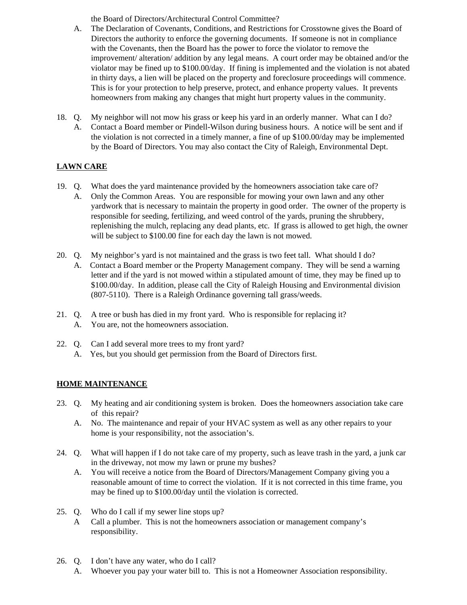the Board of Directors/Architectural Control Committee?

- A. The Declaration of Covenants, Conditions, and Restrictions for Crosstowne gives the Board of Directors the authority to enforce the governing documents. If someone is not in compliance with the Covenants, then the Board has the power to force the violator to remove the improvement/ alteration/ addition by any legal means. A court order may be obtained and/or the violator may be fined up to \$100.00/day. If fining is implemented and the violation is not abated in thirty days, a lien will be placed on the property and foreclosure proceedings will commence. This is for your protection to help preserve, protect, and enhance property values. It prevents homeowners from making any changes that might hurt property values in the community.
- 18. Q. My neighbor will not mow his grass or keep his yard in an orderly manner. What can I do?
	- A. Contact a Board member or Pindell-Wilson during business hours. A notice will be sent and if the violation is not corrected in a timely manner, a fine of up \$100.00/day may be implemented by the Board of Directors. You may also contact the City of Raleigh, Environmental Dept.

## **LAWN CARE**

- 19. Q. What does the yard maintenance provided by the homeowners association take care of? A. Only the Common Areas. You are responsible for mowing your own lawn and any other yardwork that is necessary to maintain the property in good order. The owner of the property is responsible for seeding, fertilizing, and weed control of the yards, pruning the shrubbery, replenishing the mulch, replacing any dead plants, etc. If grass is allowed to get high, the owner will be subject to \$100.00 fine for each day the lawn is not mowed.
- 20. Q. My neighbor's yard is not maintained and the grass is two feet tall. What should I do? A. Contact a Board member or the Property Management company. They will be send a warning letter and if the yard is not mowed within a stipulated amount of time, they may be fined up to \$100.00/day. In addition, please call the City of Raleigh Housing and Environmental division (807-5110). There is a Raleigh Ordinance governing tall grass/weeds.
- 21. Q. A tree or bush has died in my front yard. Who is responsible for replacing it? A. You are, not the homeowners association.
- 22. Q. Can I add several more trees to my front yard?
	- A. Yes, but you should get permission from the Board of Directors first.

# **HOME MAINTENANCE**

- 23. Q. My heating and air conditioning system is broken. Does the homeowners association take care of this repair?
	- A. No. The maintenance and repair of your HVAC system as well as any other repairs to your home is your responsibility, not the association's.
- 24. Q. What will happen if I do not take care of my property, such as leave trash in the yard, a junk car in the driveway, not mow my lawn or prune my bushes?
	- A. You will receive a notice from the Board of Directors/Management Company giving you a reasonable amount of time to correct the violation. If it is not corrected in this time frame, you may be fined up to \$100.00/day until the violation is corrected.
- 25. Q. Who do I call if my sewer line stops up?
	- A Call a plumber. This is not the homeowners association or management company's responsibility.
- 26. Q. I don't have any water, who do I call? A. Whoever you pay your water bill to. This is not a Homeowner Association responsibility.